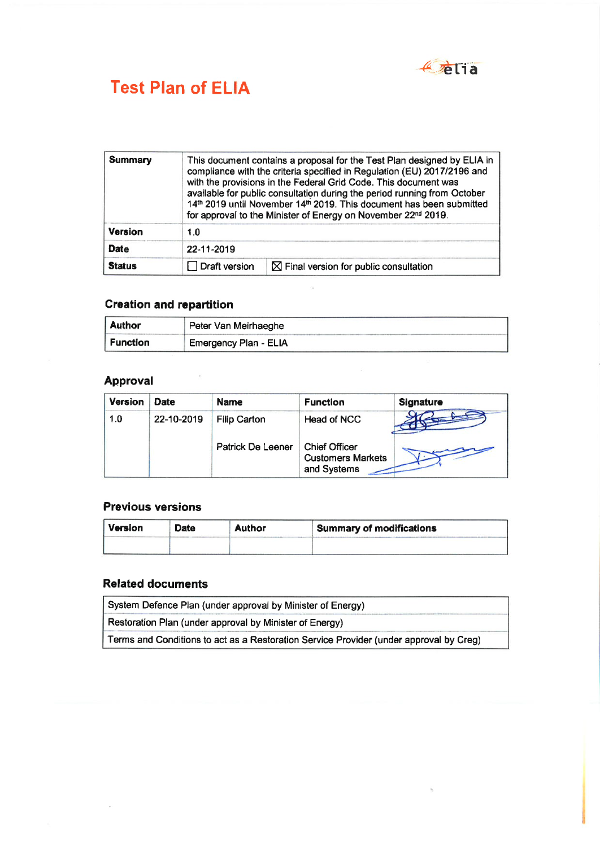

# **Test Plan of ELIA**

| <b>Summary</b>                        |            | This document contains a proposal for the Test Plan designed by ELIA in<br>compliance with the criteria specified in Regulation (EU) 2017/2196 and<br>with the provisions in the Federal Grid Code. This document was<br>available for public consultation during the period running from October<br>14th 2019 until November 14th 2019. This document has been submitted<br>for approval to the Minister of Energy on November 22 <sup>nd</sup> 2019. |  |  |
|---------------------------------------|------------|--------------------------------------------------------------------------------------------------------------------------------------------------------------------------------------------------------------------------------------------------------------------------------------------------------------------------------------------------------------------------------------------------------------------------------------------------------|--|--|
| <b>Version</b>                        | 1.0        |                                                                                                                                                                                                                                                                                                                                                                                                                                                        |  |  |
| <b>Date</b>                           | 22-11-2019 |                                                                                                                                                                                                                                                                                                                                                                                                                                                        |  |  |
| <b>Status</b><br>$\Box$ Draft version |            | $\boxtimes$ Final version for public consultation                                                                                                                                                                                                                                                                                                                                                                                                      |  |  |

## **Creation and repartition**

| <b>Author</b>   | Peter Van Meirhaeghe    |  |
|-----------------|-------------------------|--|
| <b>Function</b> | ` Emergency Plan - ELIA |  |

 $\frac{1}{\sqrt{2}}$ 

## **Approval**

| <b>Version</b> | <b>Date</b> | <b>Name</b>         | <b>Function</b>                                                 | Signature |
|----------------|-------------|---------------------|-----------------------------------------------------------------|-----------|
| 1.0            | 22-10-2019  | <b>Filip Carton</b> | Head of NCC                                                     |           |
|                |             | Patrick De Leener   | <b>Chief Officer</b><br><b>Customers Markets</b><br>and Systems |           |

### **Previous versions**

| l Version | <b>Date</b> | <b>Author</b> | Summary of modifications |
|-----------|-------------|---------------|--------------------------|
|           |             |               |                          |

### **Related documents**

 $\tilde{\mathcal{G}}$ 

| System Defence Plan (under approval by Minister of Energy)                             |  |  |
|----------------------------------------------------------------------------------------|--|--|
| Restoration Plan (under approval by Minister of Energy)                                |  |  |
| Terms and Conditions to act as a Restoration Service Provider (under approval by Creg) |  |  |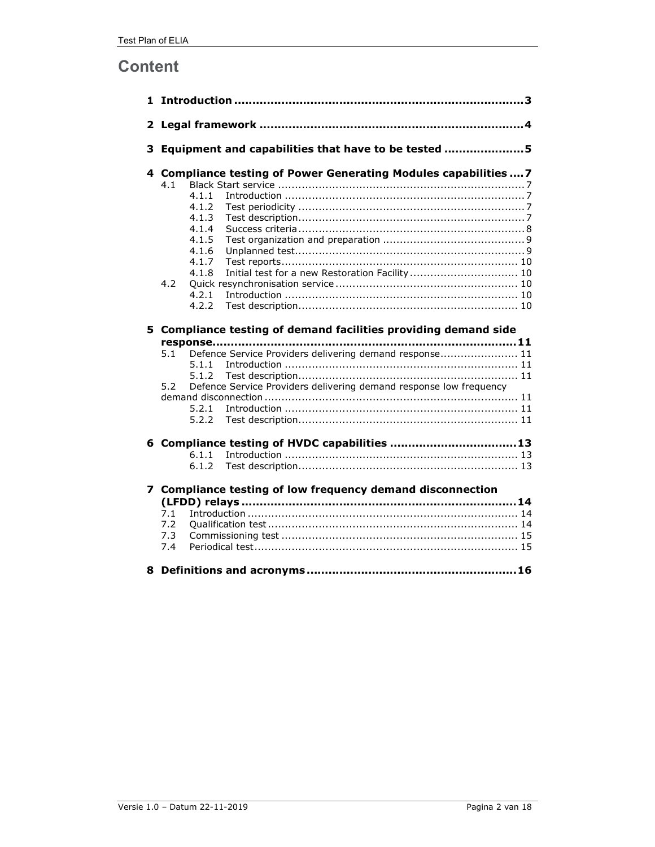## **Content**

| 3 | Equipment and capabilities that have to be tested 5                                                                                                                                                                                                |  |  |  |  |
|---|----------------------------------------------------------------------------------------------------------------------------------------------------------------------------------------------------------------------------------------------------|--|--|--|--|
|   | 4 Compliance testing of Power Generating Modules capabilities  7<br>4.1<br>4.1.1<br>4.1.2<br>4.1.3<br>4.1.4<br>4.1.5<br>4.1.6<br>4.1.7                                                                                                             |  |  |  |  |
|   | Initial test for a new Restoration Facility  10<br>4.1.8<br>4.2<br>4.2.1<br>4.2.2                                                                                                                                                                  |  |  |  |  |
|   | 5 Compliance testing of demand facilities providing demand side<br>Defence Service Providers delivering demand response 11<br>5.1<br>5.1.1<br>5.1.2<br>Defence Service Providers delivering demand response low frequency<br>5.2<br>5.2.1<br>5.2.2 |  |  |  |  |
|   | 6 Compliance testing of HVDC capabilities 13<br>6.1.1<br>6.1.2                                                                                                                                                                                     |  |  |  |  |
|   | 7 Compliance testing of low frequency demand disconnection<br>7.1<br>7.2<br>7.3<br>7.4                                                                                                                                                             |  |  |  |  |
|   |                                                                                                                                                                                                                                                    |  |  |  |  |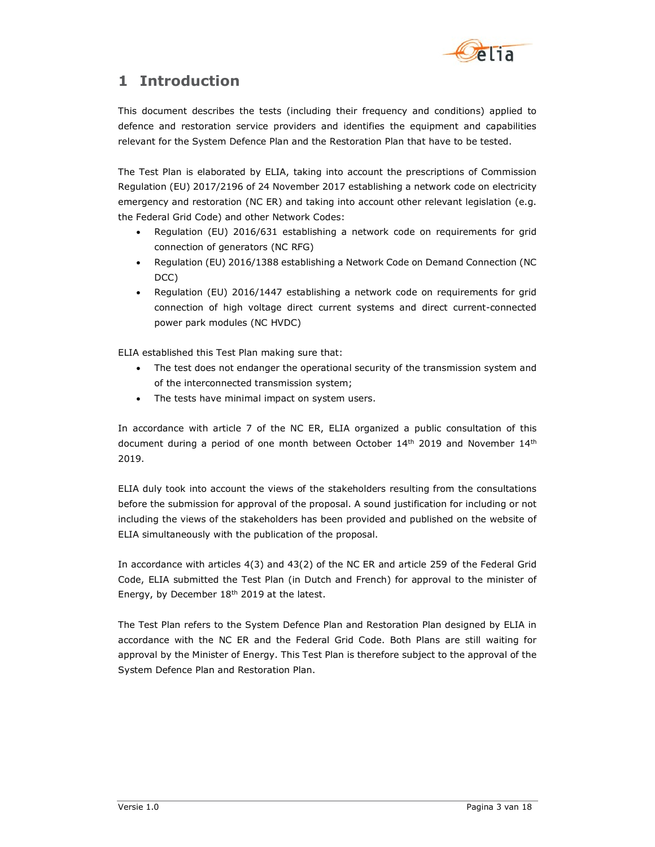

## 1 Introduction

This document describes the tests (including their frequency and conditions) applied to defence and restoration service providers and identifies the equipment and capabilities relevant for the System Defence Plan and the Restoration Plan that have to be tested.

The Test Plan is elaborated by ELIA, taking into account the prescriptions of Commission Regulation (EU) 2017/2196 of 24 November 2017 establishing a network code on electricity emergency and restoration (NC ER) and taking into account other relevant legislation (e.g. the Federal Grid Code) and other Network Codes:

- Regulation (EU) 2016/631 establishing a network code on requirements for grid connection of generators (NC RFG)
- Regulation (EU) 2016/1388 establishing a Network Code on Demand Connection (NC DCC)
- Regulation (EU) 2016/1447 establishing a network code on requirements for grid connection of high voltage direct current systems and direct current-connected power park modules (NC HVDC)

ELIA established this Test Plan making sure that:

- The test does not endanger the operational security of the transmission system and of the interconnected transmission system;
- The tests have minimal impact on system users.

In accordance with article 7 of the NC ER, ELIA organized a public consultation of this document during a period of one month between October  $14<sup>th</sup>$  2019 and November  $14<sup>th</sup>$ 2019.

ELIA duly took into account the views of the stakeholders resulting from the consultations before the submission for approval of the proposal. A sound justification for including or not including the views of the stakeholders has been provided and published on the website of ELIA simultaneously with the publication of the proposal.

In accordance with articles 4(3) and 43(2) of the NC ER and article 259 of the Federal Grid Code, ELIA submitted the Test Plan (in Dutch and French) for approval to the minister of Energy, by December 18<sup>th</sup> 2019 at the latest.

The Test Plan refers to the System Defence Plan and Restoration Plan designed by ELIA in accordance with the NC ER and the Federal Grid Code. Both Plans are still waiting for approval by the Minister of Energy. This Test Plan is therefore subject to the approval of the System Defence Plan and Restoration Plan.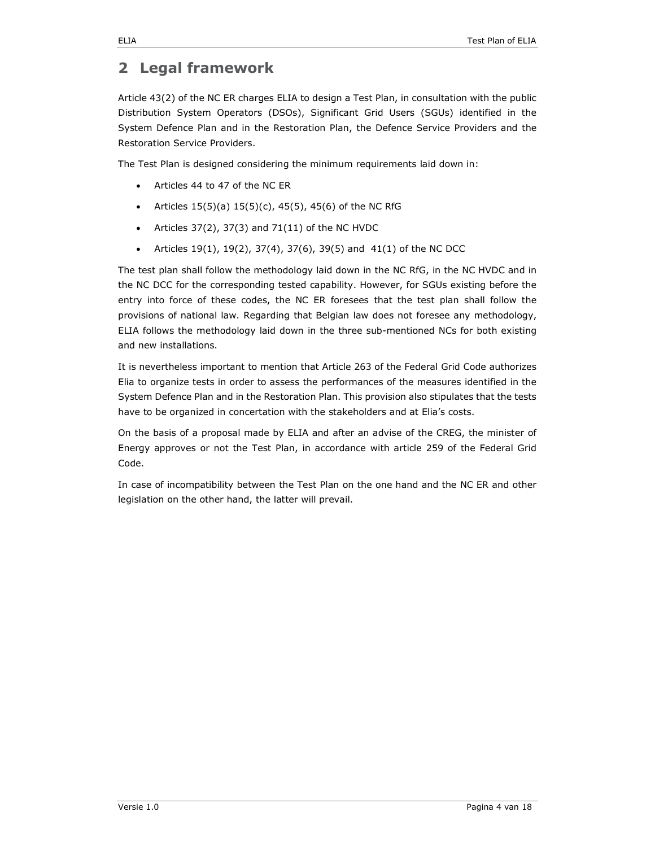## 2 Legal framework

Article 43(2) of the NC ER charges ELIA to design a Test Plan, in consultation with the public Distribution System Operators (DSOs), Significant Grid Users (SGUs) identified in the System Defence Plan and in the Restoration Plan, the Defence Service Providers and the Restoration Service Providers.

The Test Plan is designed considering the minimum requirements laid down in:

- Articles 44 to 47 of the NC ER
- Articles  $15(5)(a) 15(5)(c)$ ,  $45(5)$ ,  $45(6)$  of the NC RfG
- Articles 37(2), 37(3) and 71(11) of the NC HVDC
- Articles 19(1), 19(2), 37(4), 37(6), 39(5) and 41(1) of the NC DCC

The test plan shall follow the methodology laid down in the NC RfG, in the NC HVDC and in the NC DCC for the corresponding tested capability. However, for SGUs existing before the entry into force of these codes, the NC ER foresees that the test plan shall follow the provisions of national law. Regarding that Belgian law does not foresee any methodology, ELIA follows the methodology laid down in the three sub-mentioned NCs for both existing and new installations.

It is nevertheless important to mention that Article 263 of the Federal Grid Code authorizes Elia to organize tests in order to assess the performances of the measures identified in the System Defence Plan and in the Restoration Plan. This provision also stipulates that the tests have to be organized in concertation with the stakeholders and at Elia's costs.

On the basis of a proposal made by ELIA and after an advise of the CREG, the minister of Energy approves or not the Test Plan, in accordance with article 259 of the Federal Grid Code.

In case of incompatibility between the Test Plan on the one hand and the NC ER and other legislation on the other hand, the latter will prevail.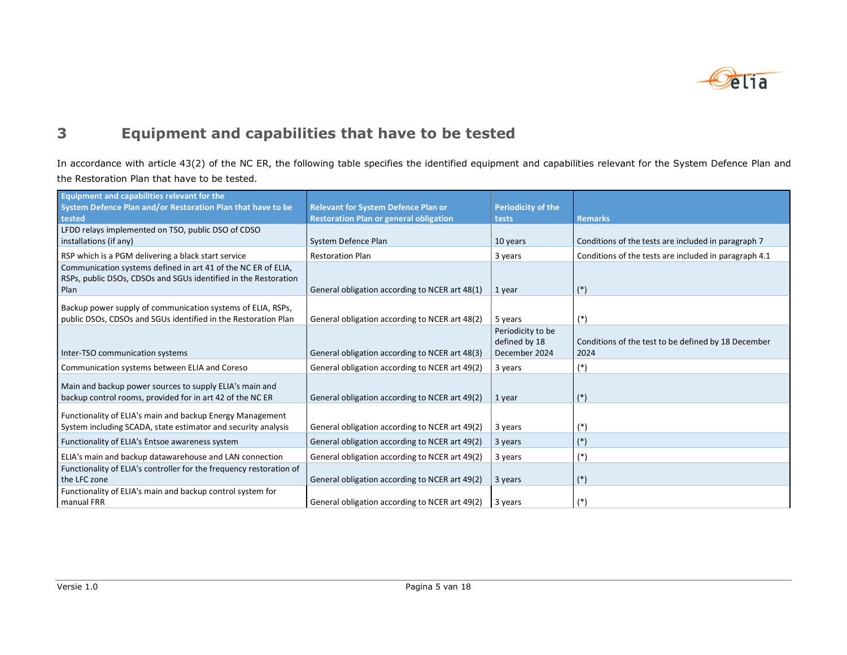

## 3 Equipment and capabilities that have to be tested

In accordance with article 43(2) of the NC ER, the following table specifies the identified equipment and capabilities relevant for the System Defence Plan and the Restoration Plan that have to be tested.

| <b>Equipment and capabilities relevant for the</b><br>System Defence Plan and/or Restoration Plan that have to be                        | <b>Relevant for System Defence Plan or</b>     | <b>Periodicity of the</b>                           |                                                             |
|------------------------------------------------------------------------------------------------------------------------------------------|------------------------------------------------|-----------------------------------------------------|-------------------------------------------------------------|
| tested                                                                                                                                   | <b>Restoration Plan or general obligation</b>  | tests                                               | <b>Remarks</b>                                              |
| LFDD relays implemented on TSO, public DSO of CDSO<br>installations (if any)                                                             | System Defence Plan                            | 10 years                                            | Conditions of the tests are included in paragraph 7         |
| RSP which is a PGM delivering a black start service                                                                                      | <b>Restoration Plan</b>                        | 3 years                                             | Conditions of the tests are included in paragraph 4.1       |
| Communication systems defined in art 41 of the NC ER of ELIA,<br>RSPs, public DSOs, CDSOs and SGUs identified in the Restoration<br>Plan | General obligation according to NCER art 48(1) | 1 year                                              | $(*)$                                                       |
| Backup power supply of communication systems of ELIA, RSPs,<br>public DSOs, CDSOs and SGUs identified in the Restoration Plan            | General obligation according to NCER art 48(2) | 5 years                                             | $(*)$                                                       |
| Inter-TSO communication systems                                                                                                          | General obligation according to NCER art 48(3) | Periodicity to be<br>defined by 18<br>December 2024 | Conditions of the test to be defined by 18 December<br>2024 |
| Communication systems between ELIA and Coreso                                                                                            | General obligation according to NCER art 49(2) | 3 years                                             | $(*)$                                                       |
| Main and backup power sources to supply ELIA's main and<br>backup control rooms, provided for in art 42 of the NC ER                     | General obligation according to NCER art 49(2) | 1 year                                              | $(*)$                                                       |
| Functionality of ELIA's main and backup Energy Management<br>System including SCADA, state estimator and security analysis               | General obligation according to NCER art 49(2) | 3 years                                             | $(*)$                                                       |
| Functionality of ELIA's Entsoe awareness system                                                                                          | General obligation according to NCER art 49(2) | 3 years                                             | $(*)$                                                       |
| ELIA's main and backup datawarehouse and LAN connection                                                                                  | General obligation according to NCER art 49(2) | 3 years                                             | $(*)$                                                       |
| Functionality of ELIA's controller for the frequency restoration of<br>the LFC zone                                                      | General obligation according to NCER art 49(2) | 3 years                                             | $(*)$                                                       |
| Functionality of ELIA's main and backup control system for<br>manual FRR                                                                 | General obligation according to NCER art 49(2) | 3 years                                             | $(*)$                                                       |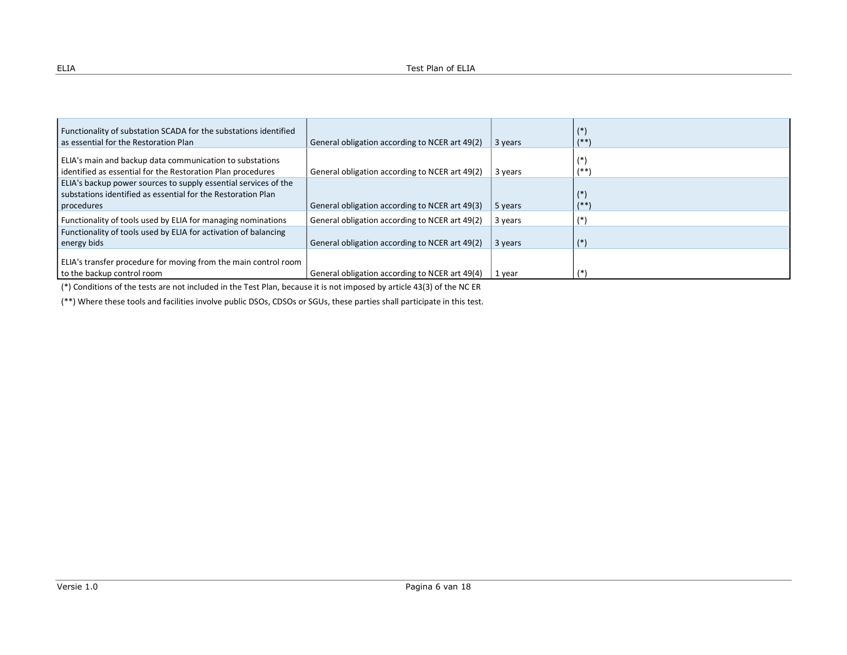| Functionality of substation SCADA for the substations identified                                                                              |                                                |         | $(*)$           |
|-----------------------------------------------------------------------------------------------------------------------------------------------|------------------------------------------------|---------|-----------------|
| as essential for the Restoration Plan                                                                                                         | General obligation according to NCER art 49(2) | 3 years | $1**$           |
| ELIA's main and backup data communication to substations<br>identified as essential for the Restoration Plan procedures                       | General obligation according to NCER art 49(2) | 3 years | $(*)$<br>$1**$  |
| ELIA's backup power sources to supply essential services of the<br>substations identified as essential for the Restoration Plan<br>procedures | General obligation according to NCER art 49(3) | 5 years | $(*)$<br>$(***$ |
| Functionality of tools used by ELIA for managing nominations                                                                                  | General obligation according to NCER art 49(2) | 3 years |                 |
| Functionality of tools used by ELIA for activation of balancing<br>energy bids                                                                | General obligation according to NCER art 49(2) | 3 years | $(*)$           |
| ELIA's transfer procedure for moving from the main control room<br>to the backup control room                                                 | General obligation according to NCER art 49(4) | 1 year  |                 |

(\*) Conditions of the tests are not included in the Test Plan, because it is not imposed by article 43(3) of the NC ER

(\*\*) Where these tools and facilities involve public DSOs, CDSOs or SGUs, these parties shall participate in this test.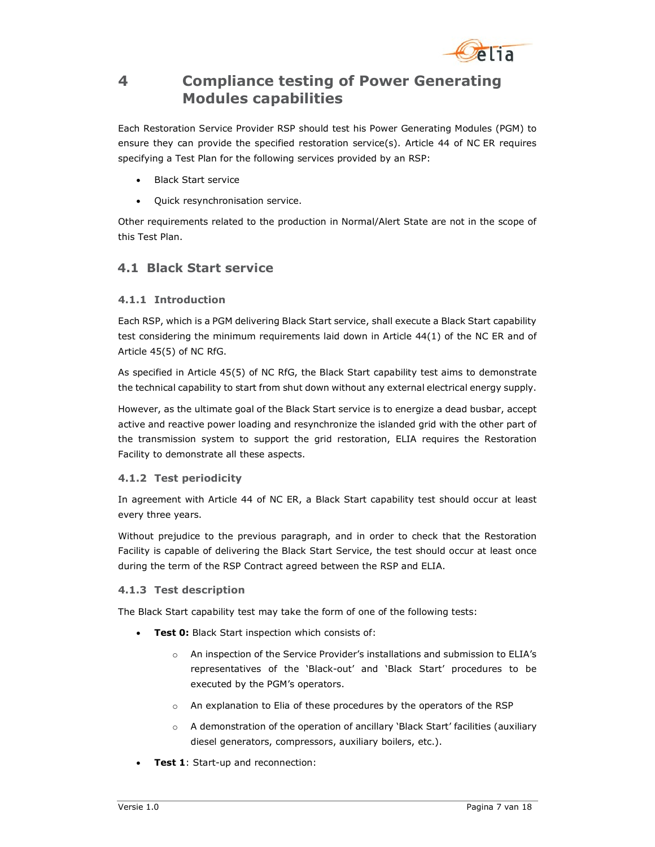

## 4 Compliance testing of Power Generating Modules capabilities

Each Restoration Service Provider RSP should test his Power Generating Modules (PGM) to ensure they can provide the specified restoration service(s). Article 44 of NC ER requires specifying a Test Plan for the following services provided by an RSP:

- Black Start service
- Quick resynchronisation service.

Other requirements related to the production in Normal/Alert State are not in the scope of this Test Plan.

### 4.1 Black Start service

#### 4.1.1 Introduction

Each RSP, which is a PGM delivering Black Start service, shall execute a Black Start capability test considering the minimum requirements laid down in Article 44(1) of the NC ER and of Article 45(5) of NC RfG.

As specified in Article 45(5) of NC RfG, the Black Start capability test aims to demonstrate the technical capability to start from shut down without any external electrical energy supply.

However, as the ultimate goal of the Black Start service is to energize a dead busbar, accept active and reactive power loading and resynchronize the islanded grid with the other part of the transmission system to support the grid restoration, ELIA requires the Restoration Facility to demonstrate all these aspects.

#### 4.1.2 Test periodicity

In agreement with Article 44 of NC ER, a Black Start capability test should occur at least every three years.

Without prejudice to the previous paragraph, and in order to check that the Restoration Facility is capable of delivering the Black Start Service, the test should occur at least once during the term of the RSP Contract agreed between the RSP and ELIA.

#### 4.1.3 Test description

The Black Start capability test may take the form of one of the following tests:

- Test 0: Black Start inspection which consists of:
	- o An inspection of the Service Provider's installations and submission to ELIA's representatives of the 'Black-out' and 'Black Start' procedures to be executed by the PGM's operators.
	- o An explanation to Elia of these procedures by the operators of the RSP
	- o A demonstration of the operation of ancillary 'Black Start' facilities (auxiliary diesel generators, compressors, auxiliary boilers, etc.).
- **Test 1:** Start-up and reconnection: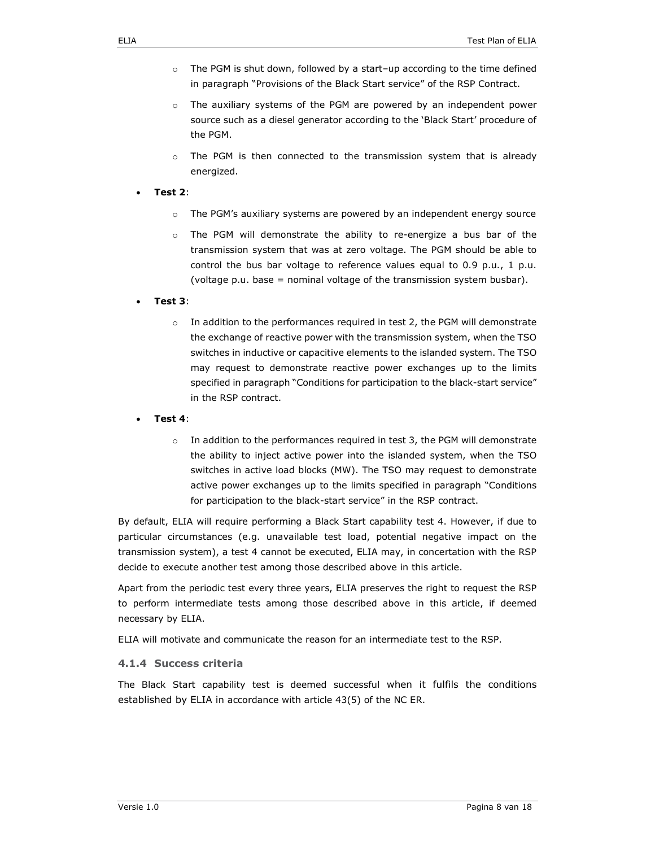- $\circ$  The PGM is shut down, followed by a start-up according to the time defined in paragraph "Provisions of the Black Start service" of the RSP Contract.
- o The auxiliary systems of the PGM are powered by an independent power source such as a diesel generator according to the 'Black Start' procedure of the PGM.
- $\circ$  The PGM is then connected to the transmission system that is already energized.
- Test 2:
	- $\circ$  The PGM's auxiliary systems are powered by an independent energy source
	- o The PGM will demonstrate the ability to re-energize a bus bar of the transmission system that was at zero voltage. The PGM should be able to control the bus bar voltage to reference values equal to 0.9 p.u., 1 p.u. (voltage p.u. base = nominal voltage of the transmission system busbar).
- Test 3:
	- $\circ$  In addition to the performances required in test 2, the PGM will demonstrate the exchange of reactive power with the transmission system, when the TSO switches in inductive or capacitive elements to the islanded system. The TSO may request to demonstrate reactive power exchanges up to the limits specified in paragraph "Conditions for participation to the black-start service" in the RSP contract.
- Test 4:
	- $\circ$  In addition to the performances required in test 3, the PGM will demonstrate the ability to inject active power into the islanded system, when the TSO switches in active load blocks (MW). The TSO may request to demonstrate active power exchanges up to the limits specified in paragraph "Conditions for participation to the black-start service" in the RSP contract.

By default, ELIA will require performing a Black Start capability test 4. However, if due to particular circumstances (e.g. unavailable test load, potential negative impact on the transmission system), a test 4 cannot be executed, ELIA may, in concertation with the RSP decide to execute another test among those described above in this article.

Apart from the periodic test every three years, ELIA preserves the right to request the RSP to perform intermediate tests among those described above in this article, if deemed necessary by ELIA.

ELIA will motivate and communicate the reason for an intermediate test to the RSP.

#### 4.1.4 Success criteria

The Black Start capability test is deemed successful when it fulfils the conditions established by ELIA in accordance with article 43(5) of the NC ER.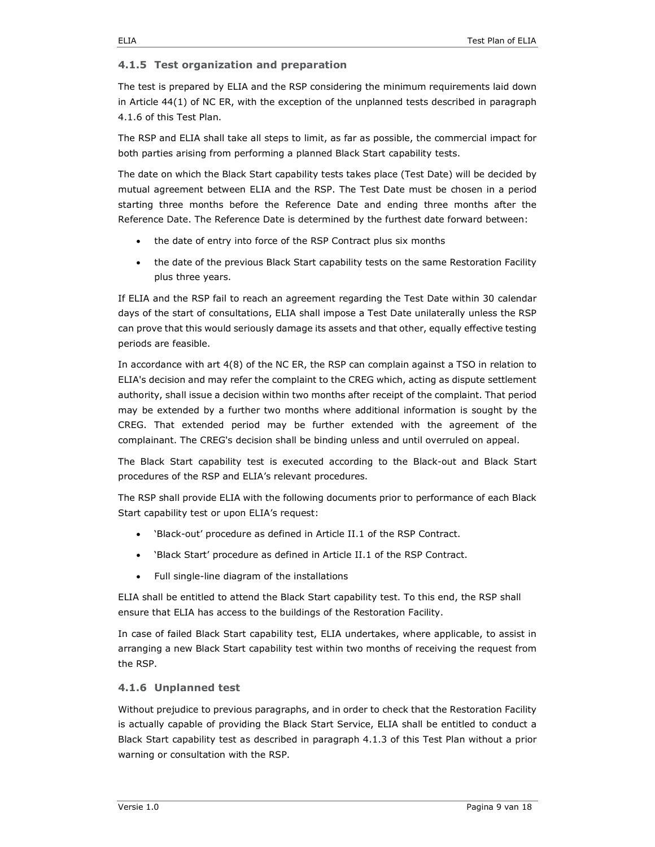#### 4.1.5 Test organization and preparation

The test is prepared by ELIA and the RSP considering the minimum requirements laid down in Article 44(1) of NC ER, with the exception of the unplanned tests described in paragraph 4.1.6 of this Test Plan.

The RSP and ELIA shall take all steps to limit, as far as possible, the commercial impact for both parties arising from performing a planned Black Start capability tests.

The date on which the Black Start capability tests takes place (Test Date) will be decided by mutual agreement between ELIA and the RSP. The Test Date must be chosen in a period starting three months before the Reference Date and ending three months after the Reference Date. The Reference Date is determined by the furthest date forward between:

- the date of entry into force of the RSP Contract plus six months
- the date of the previous Black Start capability tests on the same Restoration Facility plus three years.

If ELIA and the RSP fail to reach an agreement regarding the Test Date within 30 calendar days of the start of consultations, ELIA shall impose a Test Date unilaterally unless the RSP can prove that this would seriously damage its assets and that other, equally effective testing periods are feasible.

In accordance with art 4(8) of the NC ER, the RSP can complain against a TSO in relation to ELIA's decision and may refer the complaint to the CREG which, acting as dispute settlement authority, shall issue a decision within two months after receipt of the complaint. That period may be extended by a further two months where additional information is sought by the CREG. That extended period may be further extended with the agreement of the complainant. The CREG's decision shall be binding unless and until overruled on appeal.

The Black Start capability test is executed according to the Black-out and Black Start procedures of the RSP and ELIA's relevant procedures.

The RSP shall provide ELIA with the following documents prior to performance of each Black Start capability test or upon ELIA's request:

- 'Black-out' procedure as defined in Article II.1 of the RSP Contract.
- 'Black Start' procedure as defined in Article II.1 of the RSP Contract.
- Full single-line diagram of the installations

ELIA shall be entitled to attend the Black Start capability test. To this end, the RSP shall ensure that ELIA has access to the buildings of the Restoration Facility.

In case of failed Black Start capability test, ELIA undertakes, where applicable, to assist in arranging a new Black Start capability test within two months of receiving the request from the RSP.

#### 4.1.6 Unplanned test

Without prejudice to previous paragraphs, and in order to check that the Restoration Facility is actually capable of providing the Black Start Service, ELIA shall be entitled to conduct a Black Start capability test as described in paragraph 4.1.3 of this Test Plan without a prior warning or consultation with the RSP.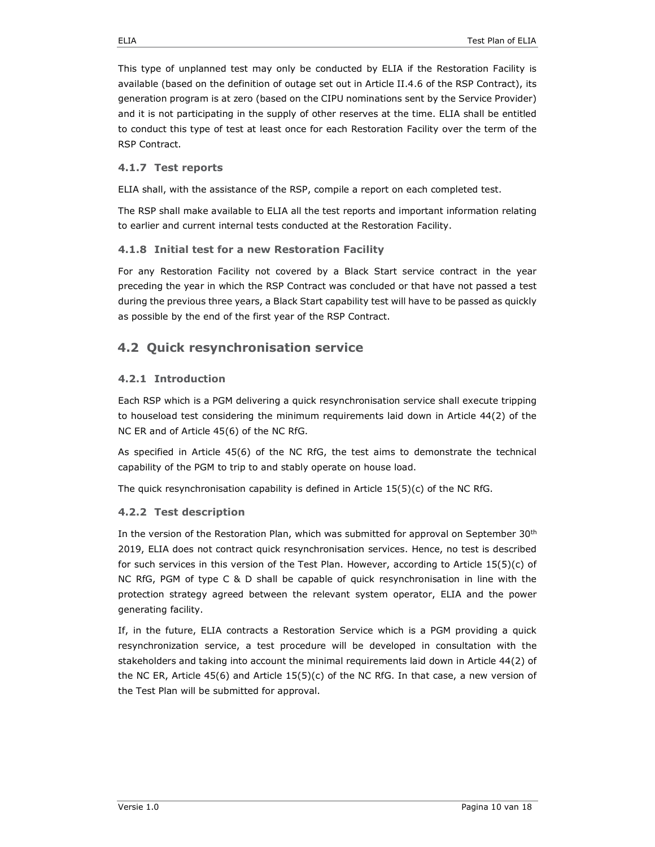This type of unplanned test may only be conducted by ELIA if the Restoration Facility is available (based on the definition of outage set out in Article II.4.6 of the RSP Contract), its generation program is at zero (based on the CIPU nominations sent by the Service Provider) and it is not participating in the supply of other reserves at the time. ELIA shall be entitled to conduct this type of test at least once for each Restoration Facility over the term of the RSP Contract.

#### 4.1.7 Test reports

ELIA shall, with the assistance of the RSP, compile a report on each completed test.

The RSP shall make available to ELIA all the test reports and important information relating to earlier and current internal tests conducted at the Restoration Facility.

#### 4.1.8 Initial test for a new Restoration Facility

For any Restoration Facility not covered by a Black Start service contract in the year preceding the year in which the RSP Contract was concluded or that have not passed a test during the previous three years, a Black Start capability test will have to be passed as quickly as possible by the end of the first year of the RSP Contract.

### 4.2 Quick resynchronisation service

#### 4.2.1 Introduction

Each RSP which is a PGM delivering a quick resynchronisation service shall execute tripping to houseload test considering the minimum requirements laid down in Article 44(2) of the NC ER and of Article 45(6) of the NC RfG.

As specified in Article 45(6) of the NC RfG, the test aims to demonstrate the technical capability of the PGM to trip to and stably operate on house load.

The quick resynchronisation capability is defined in Article  $15(5)(c)$  of the NC RfG.

#### 4.2.2 Test description

In the version of the Restoration Plan, which was submitted for approval on September 30<sup>th</sup> 2019, ELIA does not contract quick resynchronisation services. Hence, no test is described for such services in this version of the Test Plan. However, according to Article 15(5)(c) of NC RfG, PGM of type C & D shall be capable of quick resynchronisation in line with the protection strategy agreed between the relevant system operator, ELIA and the power generating facility.

If, in the future, ELIA contracts a Restoration Service which is a PGM providing a quick resynchronization service, a test procedure will be developed in consultation with the stakeholders and taking into account the minimal requirements laid down in Article 44(2) of the NC ER, Article 45(6) and Article  $15(5)(c)$  of the NC RfG. In that case, a new version of the Test Plan will be submitted for approval.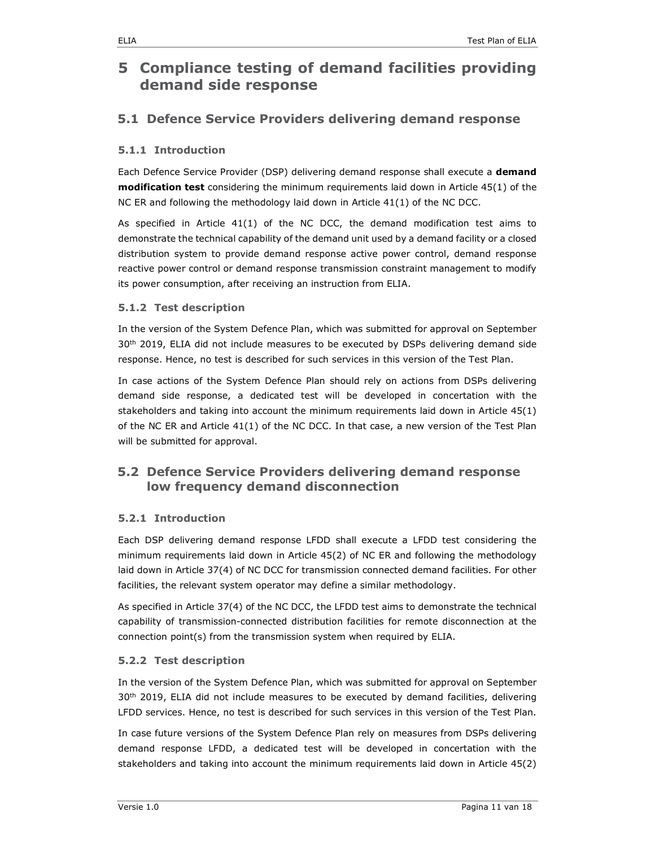## 5 Compliance testing of demand facilities providing demand side response

### 5.1 Defence Service Providers delivering demand response

#### 5.1.1 Introduction

Each Defence Service Provider (DSP) delivering demand response shall execute a demand modification test considering the minimum requirements laid down in Article 45(1) of the NC ER and following the methodology laid down in Article 41(1) of the NC DCC.

As specified in Article 41(1) of the NC DCC, the demand modification test aims to demonstrate the technical capability of the demand unit used by a demand facility or a closed distribution system to provide demand response active power control, demand response reactive power control or demand response transmission constraint management to modify its power consumption, after receiving an instruction from ELIA.

#### 5.1.2 Test description

In the version of the System Defence Plan, which was submitted for approval on September  $30<sup>th</sup>$  2019, ELIA did not include measures to be executed by DSPs delivering demand side response. Hence, no test is described for such services in this version of the Test Plan.

In case actions of the System Defence Plan should rely on actions from DSPs delivering demand side response, a dedicated test will be developed in concertation with the stakeholders and taking into account the minimum requirements laid down in Article 45(1) of the NC ER and Article 41(1) of the NC DCC. In that case, a new version of the Test Plan will be submitted for approval.

### 5.2 Defence Service Providers delivering demand response low frequency demand disconnection

#### 5.2.1 Introduction

Each DSP delivering demand response LFDD shall execute a LFDD test considering the minimum requirements laid down in Article 45(2) of NC ER and following the methodology laid down in Article 37(4) of NC DCC for transmission connected demand facilities. For other facilities, the relevant system operator may define a similar methodology.

As specified in Article 37(4) of the NC DCC, the LFDD test aims to demonstrate the technical capability of transmission-connected distribution facilities for remote disconnection at the connection point(s) from the transmission system when required by ELIA.

#### 5.2.2 Test description

In the version of the System Defence Plan, which was submitted for approval on September 30<sup>th</sup> 2019, ELIA did not include measures to be executed by demand facilities, delivering LFDD services. Hence, no test is described for such services in this version of the Test Plan.

In case future versions of the System Defence Plan rely on measures from DSPs delivering demand response LFDD, a dedicated test will be developed in concertation with the stakeholders and taking into account the minimum requirements laid down in Article 45(2)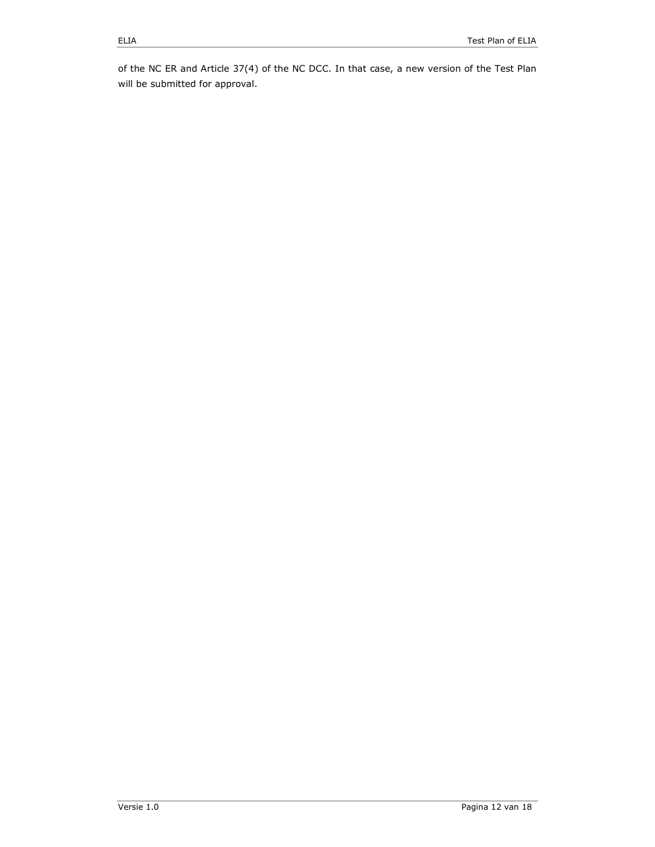of the NC ER and Article 37(4) of the NC DCC. In that case, a new version of the Test Plan will be submitted for approval.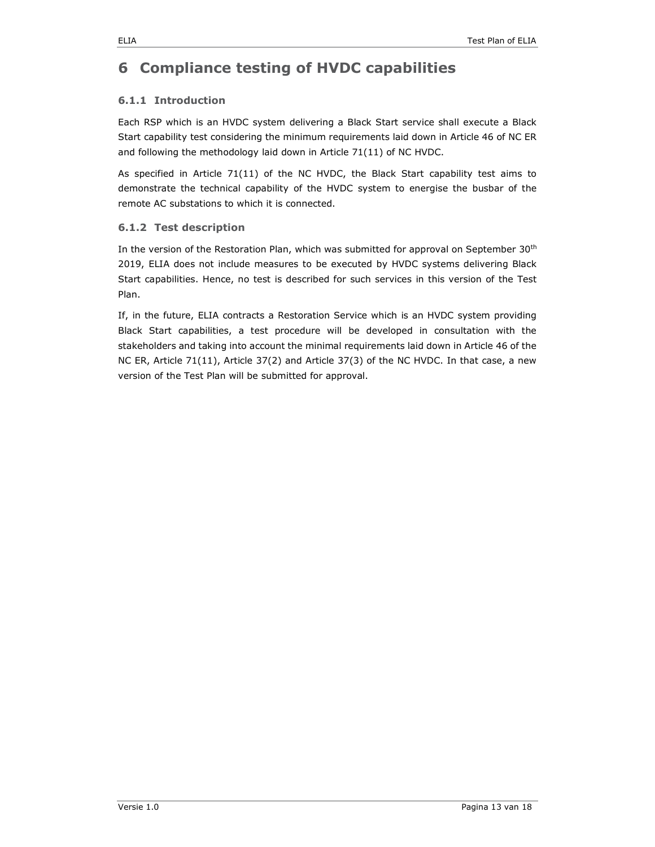## 6 Compliance testing of HVDC capabilities

#### 6.1.1 Introduction

Each RSP which is an HVDC system delivering a Black Start service shall execute a Black Start capability test considering the minimum requirements laid down in Article 46 of NC ER and following the methodology laid down in Article 71(11) of NC HVDC.

As specified in Article 71(11) of the NC HVDC, the Black Start capability test aims to demonstrate the technical capability of the HVDC system to energise the busbar of the remote AC substations to which it is connected.

#### 6.1.2 Test description

In the version of the Restoration Plan, which was submitted for approval on September 30<sup>th</sup> 2019, ELIA does not include measures to be executed by HVDC systems delivering Black Start capabilities. Hence, no test is described for such services in this version of the Test Plan.

If, in the future, ELIA contracts a Restoration Service which is an HVDC system providing Black Start capabilities, a test procedure will be developed in consultation with the stakeholders and taking into account the minimal requirements laid down in Article 46 of the NC ER, Article 71(11), Article 37(2) and Article 37(3) of the NC HVDC. In that case, a new version of the Test Plan will be submitted for approval.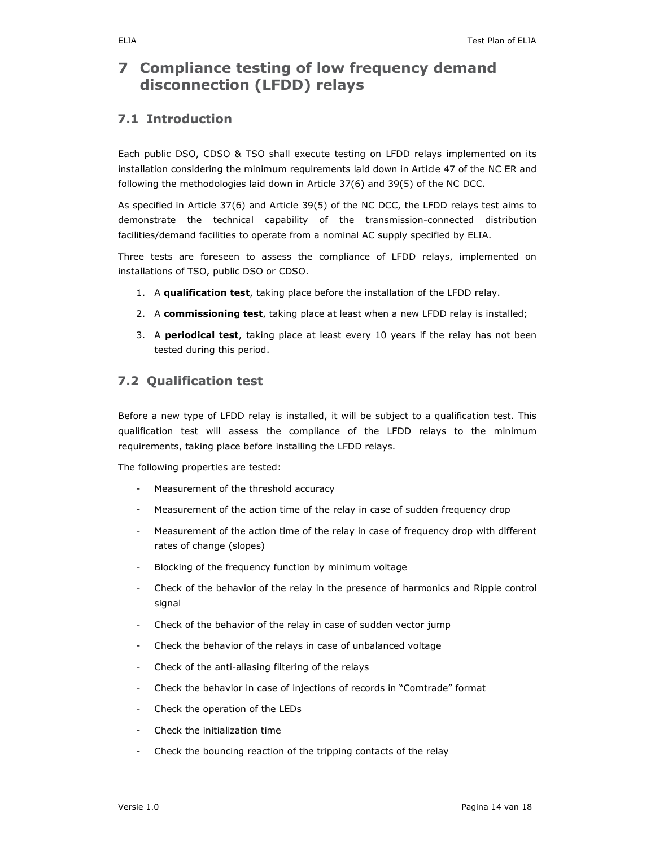## 7 Compliance testing of low frequency demand disconnection (LFDD) relays

### 7.1 Introduction

Each public DSO, CDSO & TSO shall execute testing on LFDD relays implemented on its installation considering the minimum requirements laid down in Article 47 of the NC ER and following the methodologies laid down in Article 37(6) and 39(5) of the NC DCC.

As specified in Article 37(6) and Article 39(5) of the NC DCC, the LFDD relays test aims to demonstrate the technical capability of the transmission-connected distribution facilities/demand facilities to operate from a nominal AC supply specified by ELIA.

Three tests are foreseen to assess the compliance of LFDD relays, implemented on installations of TSO, public DSO or CDSO.

- 1. A qualification test, taking place before the installation of the LFDD relay.
- 2. A commissioning test, taking place at least when a new LFDD relay is installed;
- 3. A periodical test, taking place at least every 10 years if the relay has not been tested during this period.

### 7.2 Qualification test

Before a new type of LFDD relay is installed, it will be subject to a qualification test. This qualification test will assess the compliance of the LFDD relays to the minimum requirements, taking place before installing the LFDD relays.

The following properties are tested:

- Measurement of the threshold accuracy
- Measurement of the action time of the relay in case of sudden frequency drop
- Measurement of the action time of the relay in case of frequency drop with different rates of change (slopes)
- Blocking of the frequency function by minimum voltage
- Check of the behavior of the relay in the presence of harmonics and Ripple control signal
- Check of the behavior of the relay in case of sudden vector jump
- Check the behavior of the relays in case of unbalanced voltage
- Check of the anti-aliasing filtering of the relays
- Check the behavior in case of injections of records in "Comtrade" format
- Check the operation of the LEDs
- Check the initialization time
- Check the bouncing reaction of the tripping contacts of the relay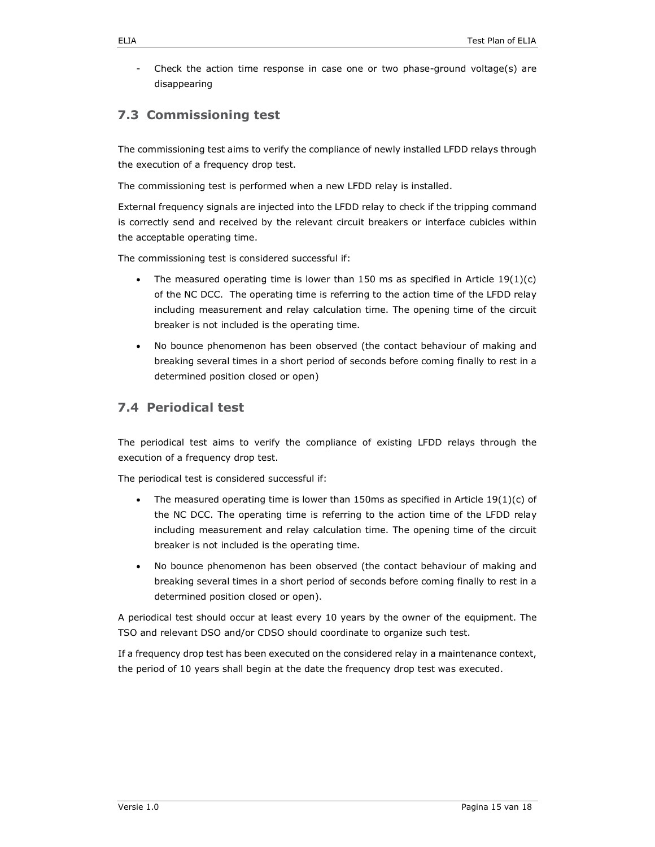Check the action time response in case one or two phase-ground voltage(s) are disappearing

### 7.3 Commissioning test

The commissioning test aims to verify the compliance of newly installed LFDD relays through the execution of a frequency drop test.

The commissioning test is performed when a new LFDD relay is installed.

External frequency signals are injected into the LFDD relay to check if the tripping command is correctly send and received by the relevant circuit breakers or interface cubicles within the acceptable operating time.

The commissioning test is considered successful if:

- The measured operating time is lower than 150 ms as specified in Article  $19(1)(c)$ of the NC DCC. The operating time is referring to the action time of the LFDD relay including measurement and relay calculation time. The opening time of the circuit breaker is not included is the operating time.
- No bounce phenomenon has been observed (the contact behaviour of making and breaking several times in a short period of seconds before coming finally to rest in a determined position closed or open)

### 7.4 Periodical test

The periodical test aims to verify the compliance of existing LFDD relays through the execution of a frequency drop test.

The periodical test is considered successful if:

- The measured operating time is lower than 150ms as specified in Article  $19(1)(c)$  of the NC DCC. The operating time is referring to the action time of the LFDD relay including measurement and relay calculation time. The opening time of the circuit breaker is not included is the operating time.
- No bounce phenomenon has been observed (the contact behaviour of making and breaking several times in a short period of seconds before coming finally to rest in a determined position closed or open).

A periodical test should occur at least every 10 years by the owner of the equipment. The TSO and relevant DSO and/or CDSO should coordinate to organize such test.

If a frequency drop test has been executed on the considered relay in a maintenance context, the period of 10 years shall begin at the date the frequency drop test was executed.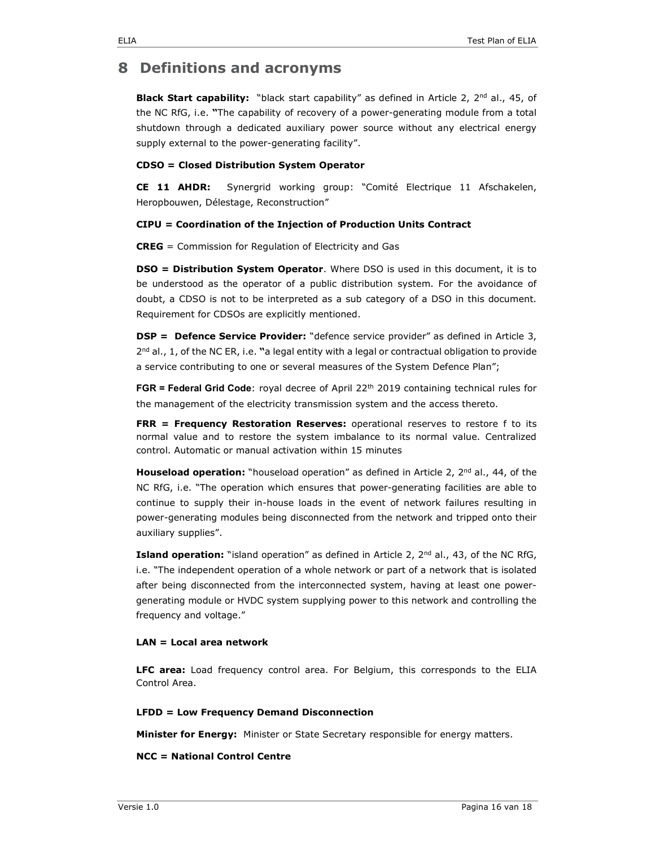### 8 Definitions and acronyms

Black Start capability: "black start capability" as defined in Article 2, 2<sup>nd</sup> al., 45, of the NC RfG, i.e. "The capability of recovery of a power-generating module from a total shutdown through a dedicated auxiliary power source without any electrical energy supply external to the power-generating facility".

#### CDSO = Closed Distribution System Operator

CE 11 AHDR: Synergrid working group: "Comité Electrique 11 Afschakelen, Heropbouwen, Délestage, Reconstruction"

#### CIPU = Coordination of the Injection of Production Units Contract

CREG = Commission for Regulation of Electricity and Gas

DSO = Distribution System Operator. Where DSO is used in this document, it is to be understood as the operator of a public distribution system. For the avoidance of doubt, a CDSO is not to be interpreted as a sub category of a DSO in this document. Requirement for CDSOs are explicitly mentioned.

DSP = Defence Service Provider: "defence service provider" as defined in Article 3,  $2^{nd}$  al., 1, of the NC ER, i.e. "a legal entity with a legal or contractual obligation to provide a service contributing to one or several measures of the System Defence Plan";

FGR = Federal Grid Code: royal decree of April 22<sup>th</sup> 2019 containing technical rules for the management of the electricity transmission system and the access thereto.

FRR = Frequency Restoration Reserves: operational reserves to restore f to its normal value and to restore the system imbalance to its normal value. Centralized control. Automatic or manual activation within 15 minutes

**Houseload operation:** "houseload operation" as defined in Article 2,  $2^{nd}$  al., 44, of the NC RfG, i.e. "The operation which ensures that power-generating facilities are able to continue to supply their in-house loads in the event of network failures resulting in power-generating modules being disconnected from the network and tripped onto their auxiliary supplies".

Island operation: "island operation" as defined in Article 2, 2<sup>nd</sup> al., 43, of the NC RfG, i.e. "The independent operation of a whole network or part of a network that is isolated after being disconnected from the interconnected system, having at least one powergenerating module or HVDC system supplying power to this network and controlling the frequency and voltage."

#### LAN = Local area network

LFC area: Load frequency control area. For Belgium, this corresponds to the ELIA Control Area.

#### LFDD = Low Frequency Demand Disconnection

Minister for Energy: Minister or State Secretary responsible for energy matters.

#### NCC = National Control Centre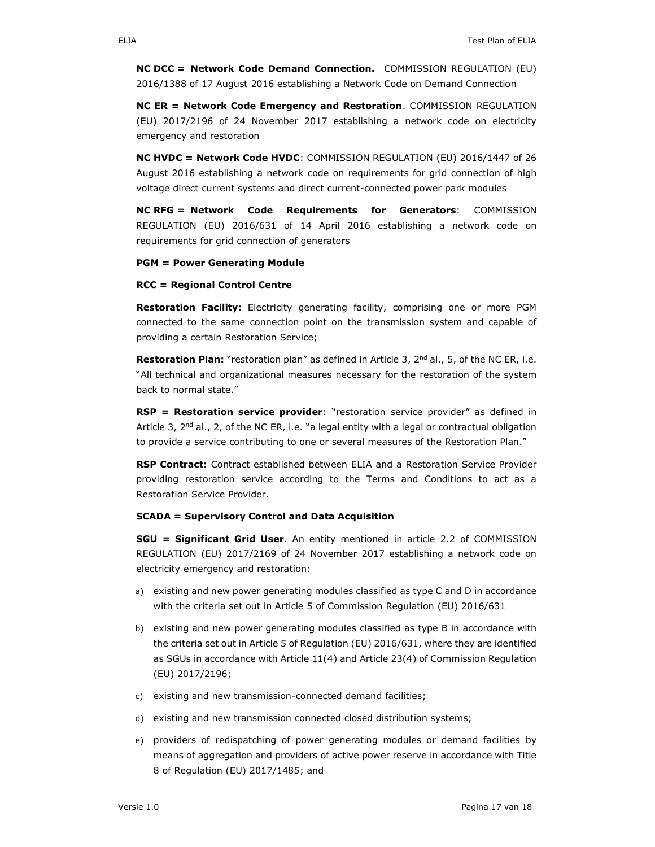NC DCC = Network Code Demand Connection. COMMISSION REGULATION (EU) 2016/1388 of 17 August 2016 establishing a Network Code on Demand Connection

NC ER = Network Code Emergency and Restoration. COMMISSION REGULATION (EU) 2017/2196 of 24 November 2017 establishing a network code on electricity emergency and restoration

NC HVDC = Network Code HVDC: COMMISSION REGULATION (EU) 2016/1447 of 26 August 2016 establishing a network code on requirements for grid connection of high voltage direct current systems and direct current-connected power park modules

NC RFG = Network Code Requirements for Generators: COMMISSION REGULATION (EU) 2016/631 of 14 April 2016 establishing a network code on requirements for grid connection of generators

#### PGM = Power Generating Module

#### RCC = Regional Control Centre

Restoration Facility: Electricity generating facility, comprising one or more PGM connected to the same connection point on the transmission system and capable of providing a certain Restoration Service;

**Restoration Plan:** "restoration plan" as defined in Article 3,  $2^{nd}$  al., 5, of the NC ER, i.e. "All technical and organizational measures necessary for the restoration of the system back to normal state."

RSP = Restoration service provider: "restoration service provider" as defined in Article 3,  $2<sup>nd</sup>$  al., 2, of the NC ER, i.e. "a legal entity with a legal or contractual obligation to provide a service contributing to one or several measures of the Restoration Plan."

RSP Contract: Contract established between ELIA and a Restoration Service Provider providing restoration service according to the Terms and Conditions to act as a Restoration Service Provider.

#### SCADA = Supervisory Control and Data Acquisition

SGU = Significant Grid User. An entity mentioned in article 2.2 of COMMISSION REGULATION (EU) 2017/2169 of 24 November 2017 establishing a network code on electricity emergency and restoration:

- a) existing and new power generating modules classified as type C and D in accordance with the criteria set out in Article 5 of Commission Regulation (EU) 2016/631
- b) existing and new power generating modules classified as type B in accordance with the criteria set out in Article 5 of Regulation (EU) 2016/631, where they are identified as SGUs in accordance with Article 11(4) and Article 23(4) of Commission Regulation (EU) 2017/2196;
- c) existing and new transmission-connected demand facilities;
- d) existing and new transmission connected closed distribution systems;
- e) providers of redispatching of power generating modules or demand facilities by means of aggregation and providers of active power reserve in accordance with Title 8 of Regulation (EU) 2017/1485; and